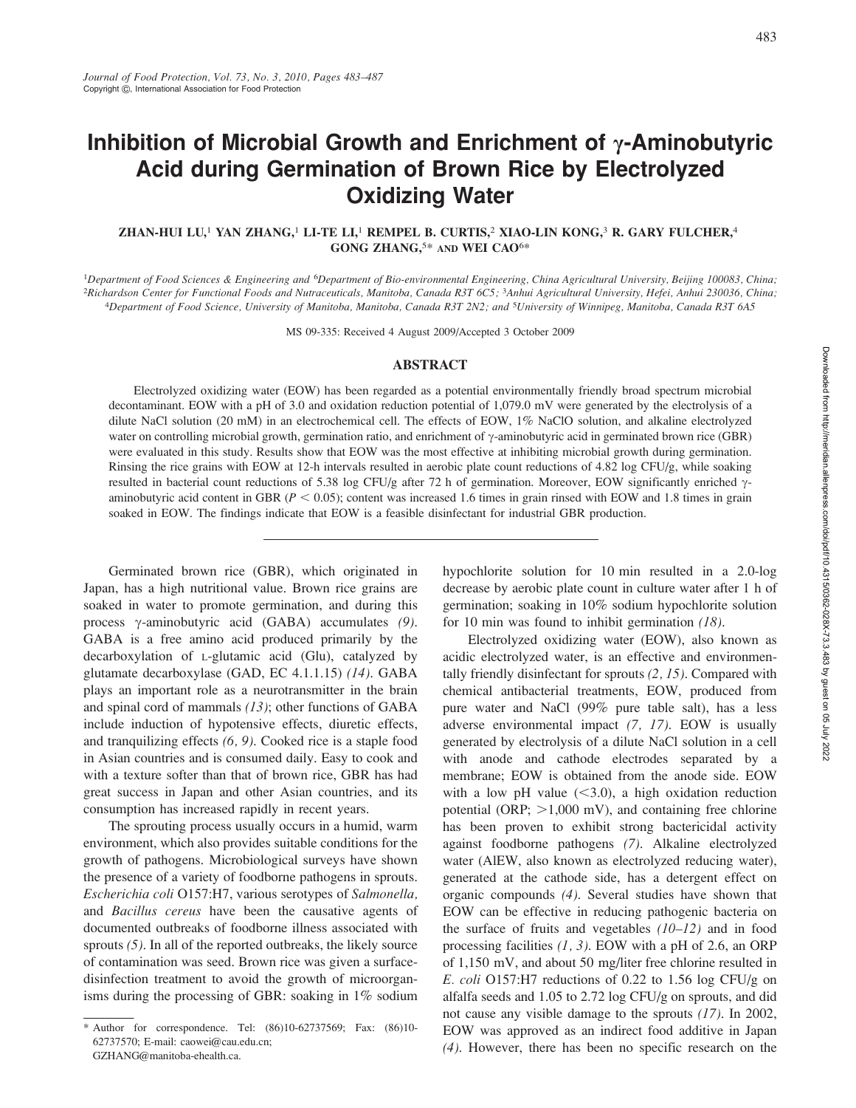# Inhibition of Microbial Growth and Enrichment of  $\gamma$ -Aminobutyric Acid during Germination of Brown Rice by Electrolyzed Oxidizing Water

### ZHAN-HUI LU,<sup>1</sup> YAN ZHANG,<sup>1</sup> LI-TE LI,<sup>1</sup> REMPEL B. CURTIS,<sup>2</sup> XIAO-LIN KONG,<sup>3</sup> R. GARY FULCHER,<sup>4</sup> GONG ZHANG,<sup>5\*</sup> AND WEI CAO<sup>6\*</sup>

<sup>1</sup>Department of Food Sciences & Engineering and <sup>6</sup>Department of Bio-environmental Engineering, China Agricultural University, Beijing 100083, China; <sup>2</sup>Richardson Center for Functional Foods and Nutraceuticals, Manitoba, Canada R3T 6C5; <sup>3</sup>Anhui Agricultural University, Hefei, Anhui 230036, China; 4Department of Food Science, University of Manitoba, Manitoba, Canada R3T 2N2; and <sup>5</sup>University of Winnipeg, Manitoba, Canada R3T 6A5

MS 09-335: Received 4 August 2009/Accepted 3 October 2009

#### ABSTRACT

Electrolyzed oxidizing water (EOW) has been regarded as a potential environmentally friendly broad spectrum microbial decontaminant. EOW with a pH of 3.0 and oxidation reduction potential of 1,079.0 mV were generated by the electrolysis of a dilute NaCl solution (20 mM) in an electrochemical cell. The effects of EOW, 1% NaClO solution, and alkaline electrolyzed water on controlling microbial growth, germination ratio, and enrichment of  $\gamma$ -aminobutyric acid in germinated brown rice (GBR) were evaluated in this study. Results show that EOW was the most effective at inhibiting microbial growth during germination. Rinsing the rice grains with EOW at 12-h intervals resulted in aerobic plate count reductions of 4.82 log CFU/g, while soaking resulted in bacterial count reductions of 5.38 log CFU/g after 72 h of germination. Moreover, EOW significantly enriched  $\gamma$ aminobutyric acid content in GBR ( $P < 0.05$ ); content was increased 1.6 times in grain rinsed with EOW and 1.8 times in grain soaked in EOW. The findings indicate that EOW is a feasible disinfectant for industrial GBR production.

Germinated brown rice (GBR), which originated in Japan, has a high nutritional value. Brown rice grains are soaked in water to promote germination, and during this process  $\gamma$ -aminobutyric acid (GABA) accumulates (9). GABA is a free amino acid produced primarily by the decarboxylation of L-glutamic acid (Glu), catalyzed by glutamate decarboxylase (GAD, EC 4.1.1.15) (14). GABA plays an important role as a neurotransmitter in the brain and spinal cord of mammals (13); other functions of GABA include induction of hypotensive effects, diuretic effects, and tranquilizing effects (6, 9). Cooked rice is a staple food in Asian countries and is consumed daily. Easy to cook and with a texture softer than that of brown rice, GBR has had great success in Japan and other Asian countries, and its consumption has increased rapidly in recent years.

The sprouting process usually occurs in a humid, warm environment, which also provides suitable conditions for the growth of pathogens. Microbiological surveys have shown the presence of a variety of foodborne pathogens in sprouts. Escherichia coli O157:H7, various serotypes of Salmonella, and Bacillus cereus have been the causative agents of documented outbreaks of foodborne illness associated with sprouts (5). In all of the reported outbreaks, the likely source of contamination was seed. Brown rice was given a surfacedisinfection treatment to avoid the growth of microorganisms during the processing of GBR: soaking in  $1\%$  sodium hypochlorite solution for 10 min resulted in a 2.0-log decrease by aerobic plate count in culture water after 1 h of germination; soaking in 10% sodium hypochlorite solution for 10 min was found to inhibit germination (18).

Electrolyzed oxidizing water (EOW), also known as acidic electrolyzed water, is an effective and environmentally friendly disinfectant for sprouts (2, 15). Compared with chemical antibacterial treatments, EOW, produced from pure water and NaCl (99% pure table salt), has a less adverse environmental impact (7, 17). EOW is usually generated by electrolysis of a dilute NaCl solution in a cell with anode and cathode electrodes separated by a membrane; EOW is obtained from the anode side. EOW with a low pH value  $( $3.0$ ), a high oxidation reduction$ potential (ORP;  $>1,000$  mV), and containing free chlorine has been proven to exhibit strong bactericidal activity against foodborne pathogens (7). Alkaline electrolyzed water (AlEW, also known as electrolyzed reducing water), generated at the cathode side, has a detergent effect on organic compounds (4). Several studies have shown that EOW can be effective in reducing pathogenic bacteria on the surface of fruits and vegetables  $(10-12)$  and in food processing facilities  $(1, 3)$ . EOW with a pH of 2.6, an ORP of 1,150 mV, and about 50 mg/liter free chlorine resulted in E. coli O157:H7 reductions of 0.22 to 1.56 log CFU/g on alfalfa seeds and 1.05 to 2.72 log CFU/g on sprouts, and did not cause any visible damage to the sprouts (17). In 2002, EOW was approved as an indirect food additive in Japan (4). However, there has been no specific research on the

<sup>\*</sup> Author for correspondence. Tel: (86)10-62737569; Fax: (86)10- 62737570; E-mail: caowei@cau.edu.cn;

GZHANG@manitoba-ehealth.ca.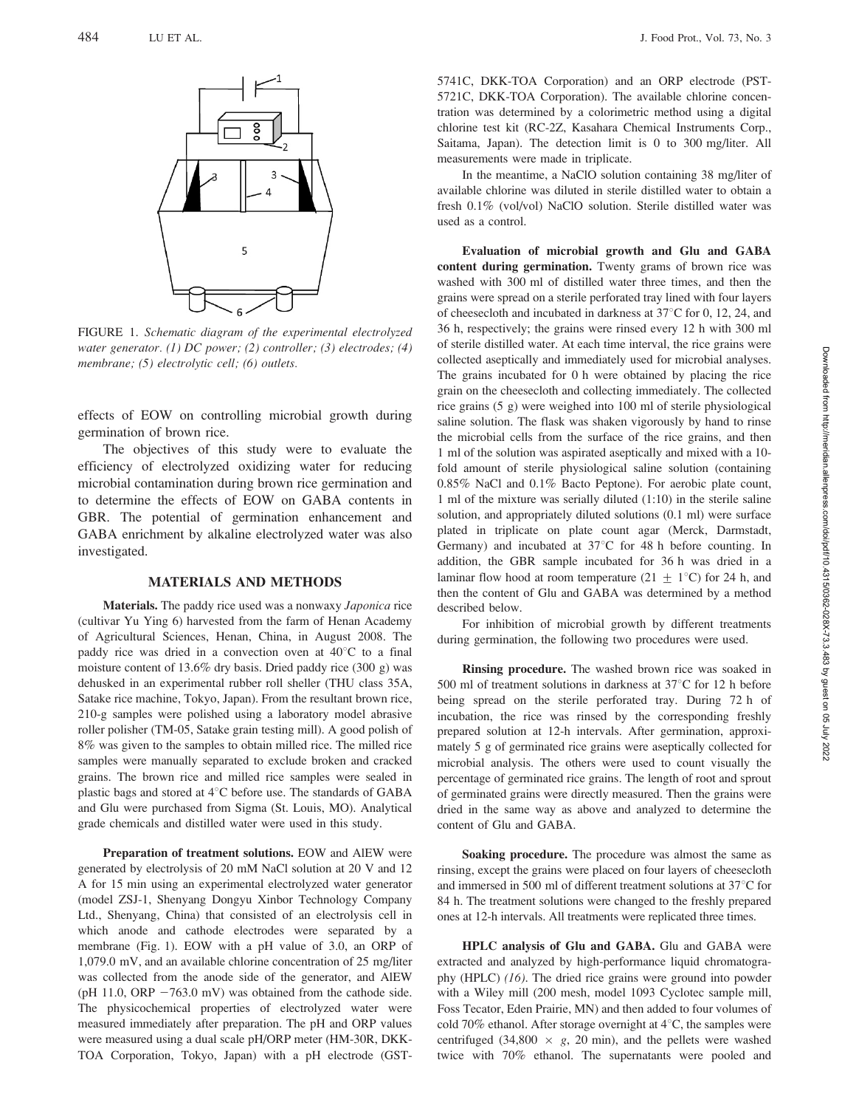

FIGURE 1. Schematic diagram of the experimental electrolyzed water generator. (1) DC power; (2) controller; (3) electrodes; (4) membrane; (5) electrolytic cell; (6) outlets.

effects of EOW on controlling microbial growth during germination of brown rice.

The objectives of this study were to evaluate the efficiency of electrolyzed oxidizing water for reducing microbial contamination during brown rice germination and to determine the effects of EOW on GABA contents in GBR. The potential of germination enhancement and GABA enrichment by alkaline electrolyzed water was also investigated.

#### MATERIALS AND METHODS

Materials. The paddy rice used was a nonwaxy Japonica rice (cultivar Yu Ying 6) harvested from the farm of Henan Academy of Agricultural Sciences, Henan, China, in August 2008. The paddy rice was dried in a convection oven at  $40^{\circ}$ C to a final moisture content of 13.6% dry basis. Dried paddy rice (300 g) was dehusked in an experimental rubber roll sheller (THU class 35A, Satake rice machine, Tokyo, Japan). From the resultant brown rice, 210-g samples were polished using a laboratory model abrasive roller polisher (TM-05, Satake grain testing mill). A good polish of 8% was given to the samples to obtain milled rice. The milled rice samples were manually separated to exclude broken and cracked grains. The brown rice and milled rice samples were sealed in plastic bags and stored at  $4^{\circ}$ C before use. The standards of GABA and Glu were purchased from Sigma (St. Louis, MO). Analytical grade chemicals and distilled water were used in this study.

Preparation of treatment solutions. EOW and AlEW were generated by electrolysis of 20 mM NaCl solution at 20 V and 12 A for 15 min using an experimental electrolyzed water generator (model ZSJ-1, Shenyang Dongyu Xinbor Technology Company Ltd., Shenyang, China) that consisted of an electrolysis cell in which anode and cathode electrodes were separated by a membrane (Fig. 1). EOW with a pH value of 3.0, an ORP of 1,079.0 mV, and an available chlorine concentration of 25 mg/liter was collected from the anode side of the generator, and AlEW (pH 11.0, ORP  $-763.0$  mV) was obtained from the cathode side. The physicochemical properties of electrolyzed water were measured immediately after preparation. The pH and ORP values were measured using a dual scale pH/ORP meter (HM-30R, DKK-TOA Corporation, Tokyo, Japan) with a pH electrode (GST-

5741C, DKK-TOA Corporation) and an ORP electrode (PST-5721C, DKK-TOA Corporation). The available chlorine concentration was determined by a colorimetric method using a digital chlorine test kit (RC-2Z, Kasahara Chemical Instruments Corp., Saitama, Japan). The detection limit is 0 to 300 mg/liter. All measurements were made in triplicate.

In the meantime, a NaClO solution containing 38 mg/liter of available chlorine was diluted in sterile distilled water to obtain a fresh 0.1% (vol/vol) NaClO solution. Sterile distilled water was used as a control.

Evaluation of microbial growth and Glu and GABA content during germination. Twenty grams of brown rice was washed with 300 ml of distilled water three times, and then the grains were spread on a sterile perforated tray lined with four layers of cheesecloth and incubated in darkness at  $37^{\circ}$ C for 0, 12, 24, and 36 h, respectively; the grains were rinsed every 12 h with 300 ml of sterile distilled water. At each time interval, the rice grains were collected aseptically and immediately used for microbial analyses. The grains incubated for 0 h were obtained by placing the rice grain on the cheesecloth and collecting immediately. The collected rice grains (5 g) were weighed into 100 ml of sterile physiological saline solution. The flask was shaken vigorously by hand to rinse the microbial cells from the surface of the rice grains, and then 1 ml of the solution was aspirated aseptically and mixed with a 10 fold amount of sterile physiological saline solution (containing 0.85% NaCl and 0.1% Bacto Peptone). For aerobic plate count, 1 ml of the mixture was serially diluted (1:10) in the sterile saline solution, and appropriately diluted solutions (0.1 ml) were surface plated in triplicate on plate count agar (Merck, Darmstadt, Germany) and incubated at  $37^{\circ}$ C for 48 h before counting. In addition, the GBR sample incubated for 36 h was dried in a laminar flow hood at room temperature (21  $\pm$  1°C) for 24 h, and then the content of Glu and GABA was determined by a method described below.

For inhibition of microbial growth by different treatments during germination, the following two procedures were used.

Rinsing procedure. The washed brown rice was soaked in 500 ml of treatment solutions in darkness at  $37^{\circ}$ C for 12 h before being spread on the sterile perforated tray. During 72 h of incubation, the rice was rinsed by the corresponding freshly prepared solution at 12-h intervals. After germination, approximately 5 g of germinated rice grains were aseptically collected for microbial analysis. The others were used to count visually the percentage of germinated rice grains. The length of root and sprout of germinated grains were directly measured. Then the grains were dried in the same way as above and analyzed to determine the content of Glu and GABA.

Soaking procedure. The procedure was almost the same as rinsing, except the grains were placed on four layers of cheesecloth and immersed in 500 ml of different treatment solutions at  $37^{\circ}$ C for 84 h. The treatment solutions were changed to the freshly prepared ones at 12-h intervals. All treatments were replicated three times.

HPLC analysis of Glu and GABA. Glu and GABA were extracted and analyzed by high-performance liquid chromatography (HPLC) (16). The dried rice grains were ground into powder with a Wiley mill (200 mesh, model 1093 Cyclotec sample mill, Foss Tecator, Eden Prairie, MN) and then added to four volumes of cold 70% ethanol. After storage overnight at  $4^{\circ}$ C, the samples were centrifuged (34,800  $\times$  g, 20 min), and the pellets were washed twice with 70% ethanol. The supernatants were pooled and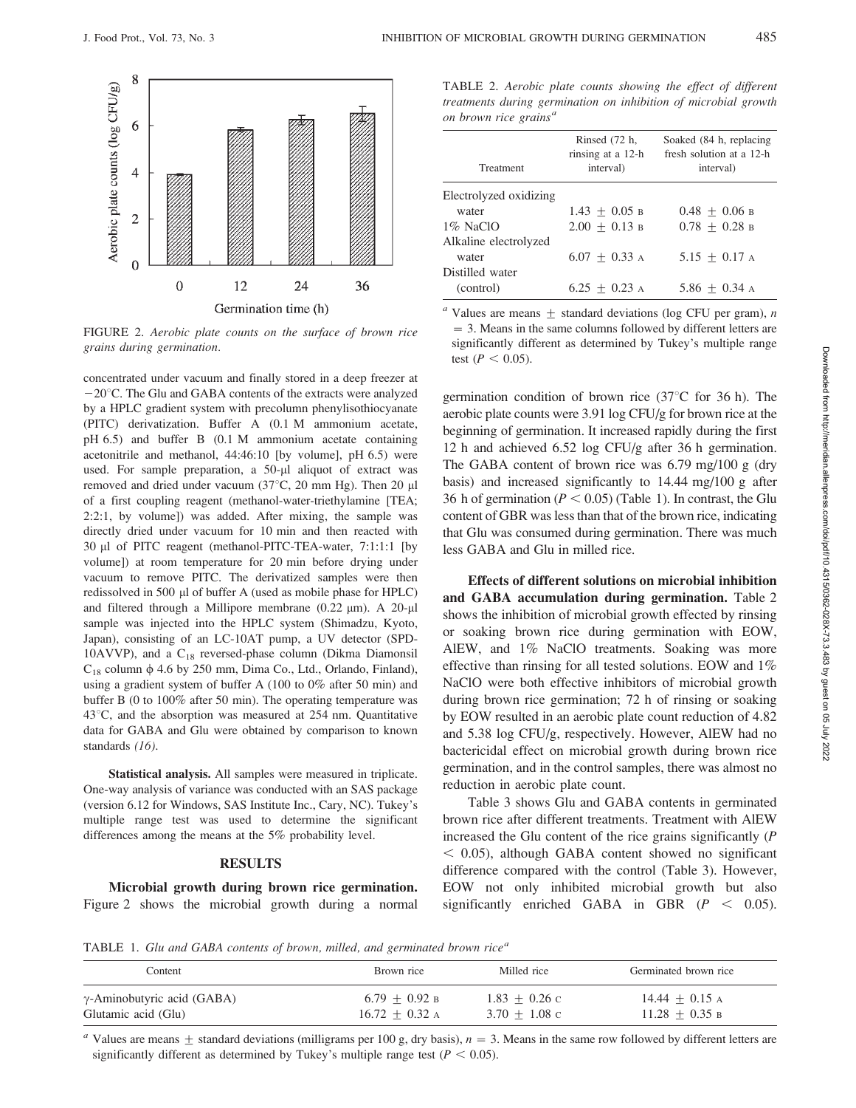

FIGURE 2. Aerobic plate counts on the surface of brown rice grains during germination.

concentrated under vacuum and finally stored in a deep freezer at  $-20^{\circ}$ C. The Glu and GABA contents of the extracts were analyzed by a HPLC gradient system with precolumn phenylisothiocyanate (PITC) derivatization. Buffer A (0.1 M ammonium acetate, pH 6.5) and buffer B (0.1 M ammonium acetate containing acetonitrile and methanol, 44:46:10 [by volume], pH 6.5) were used. For sample preparation, a 50-µl aliquot of extract was removed and dried under vacuum (37 $^{\circ}$ C, 20 mm Hg). Then 20 µl of a first coupling reagent (methanol-water-triethylamine [TEA; 2:2:1, by volume]) was added. After mixing, the sample was directly dried under vacuum for 10 min and then reacted with 30 µl of PITC reagent (methanol-PITC-TEA-water, 7:1:1:1 [by volume]) at room temperature for 20 min before drying under vacuum to remove PITC. The derivatized samples were then redissolved in 500 µl of buffer A (used as mobile phase for HPLC) and filtered through a Millipore membrane (0.22  $\mu$ m). A 20- $\mu$ l sample was injected into the HPLC system (Shimadzu, Kyoto, Japan), consisting of an LC-10AT pump, a UV detector (SPD-10AVVP), and a  $C_{18}$  reversed-phase column (Dikma Diamonsil  $C_{18}$  column  $\phi$  4.6 by 250 mm, Dima Co., Ltd., Orlando, Finland), using a gradient system of buffer A (100 to 0% after 50 min) and buffer B (0 to 100% after 50 min). The operating temperature was  $43^{\circ}$ C, and the absorption was measured at 254 nm. Quantitative data for GABA and Glu were obtained by comparison to known standards (16).

Statistical analysis. All samples were measured in triplicate. One-way analysis of variance was conducted with an SAS package (version 6.12 for Windows, SAS Institute Inc., Cary, NC). Tukey's multiple range test was used to determine the significant differences among the means at the 5% probability level.

#### RESULTS

Microbial growth during brown rice germination. Figure 2 shows the microbial growth during a normal

TABLE 2. Aerobic plate counts showing the effect of different treatments during germination on inhibition of microbial growth on brown rice grains<sup>a</sup>

| Treatment              | Rinsed (72 h,<br>rinsing at a 12-h<br>interval) | Soaked (84 h, replacing<br>fresh solution at a 12-h<br>interval) |  |
|------------------------|-------------------------------------------------|------------------------------------------------------------------|--|
| Electrolyzed oxidizing |                                                 |                                                                  |  |
| water                  | $1.43 + 0.05$ B                                 | $0.48 + 0.06$ B                                                  |  |
| $1\%$ NaClO            | $2.00 \pm 0.13$ B                               | $0.78 + 0.28$ B                                                  |  |
| Alkaline electrolyzed  |                                                 |                                                                  |  |
| water                  | $6.07 + 0.33$ A                                 | $5.15 + 0.17$ A                                                  |  |
| Distilled water        |                                                 |                                                                  |  |
| (control)              | $6.25 + 0.23$ A                                 | $5.86 + 0.34$ A                                                  |  |

<sup>*a*</sup> Values are means  $\pm$  standard deviations (log CFU per gram), *n*  $= 3$ . Means in the same columns followed by different letters are significantly different as determined by Tukey's multiple range test ( $P < 0.05$ ).

germination condition of brown rice  $(37^{\circ}C)$  for 36 h). The aerobic plate counts were 3.91 log CFU/g for brown rice at the beginning of germination. It increased rapidly during the first 12 h and achieved 6.52 log CFU/g after 36 h germination. The GABA content of brown rice was 6.79 mg/100 g (dry basis) and increased significantly to 14.44 mg/100 g after 36 h of germination ( $P < 0.05$ ) (Table 1). In contrast, the Glu content of GBR was less than that of the brown rice, indicating that Glu was consumed during germination. There was much less GABA and Glu in milled rice.

Effects of different solutions on microbial inhibition and GABA accumulation during germination. Table 2 shows the inhibition of microbial growth effected by rinsing or soaking brown rice during germination with EOW, AlEW, and 1% NaClO treatments. Soaking was more effective than rinsing for all tested solutions. EOW and 1% NaClO were both effective inhibitors of microbial growth during brown rice germination; 72 h of rinsing or soaking by EOW resulted in an aerobic plate count reduction of 4.82 and 5.38 log CFU/g, respectively. However, AlEW had no bactericidal effect on microbial growth during brown rice germination, and in the control samples, there was almost no reduction in aerobic plate count.

Table 3 shows Glu and GABA contents in germinated brown rice after different treatments. Treatment with AlEW increased the Glu content of the rice grains significantly (P  $<$  0.05), although GABA content showed no significant difference compared with the control (Table 3). However, EOW not only inhibited microbial growth but also significantly enriched GABA in GBR ( $P < 0.05$ ).

TABLE 1. Glu and GABA contents of brown, milled, and germinated brown rice<sup>a</sup>

| Content                            | Brown rice       | Milled rice     | Germinated brown rice |
|------------------------------------|------------------|-----------------|-----------------------|
| $\gamma$ -Aminobutyric acid (GABA) | $6.79 + 0.92$ B  | $1.83 + 0.26$ c | $14.44 + 0.15$ A      |
| Glutamic acid (Glu)                | $16.72 + 0.32$ A | $3.70 + 1.08$ c | $11.28 + 0.35 B$      |

<sup>a</sup> Values are means  $\pm$  standard deviations (milligrams per 100 g, dry basis),  $n = 3$ . Means in the same row followed by different letters are significantly different as determined by Tukey's multiple range test ( $P < 0.05$ ).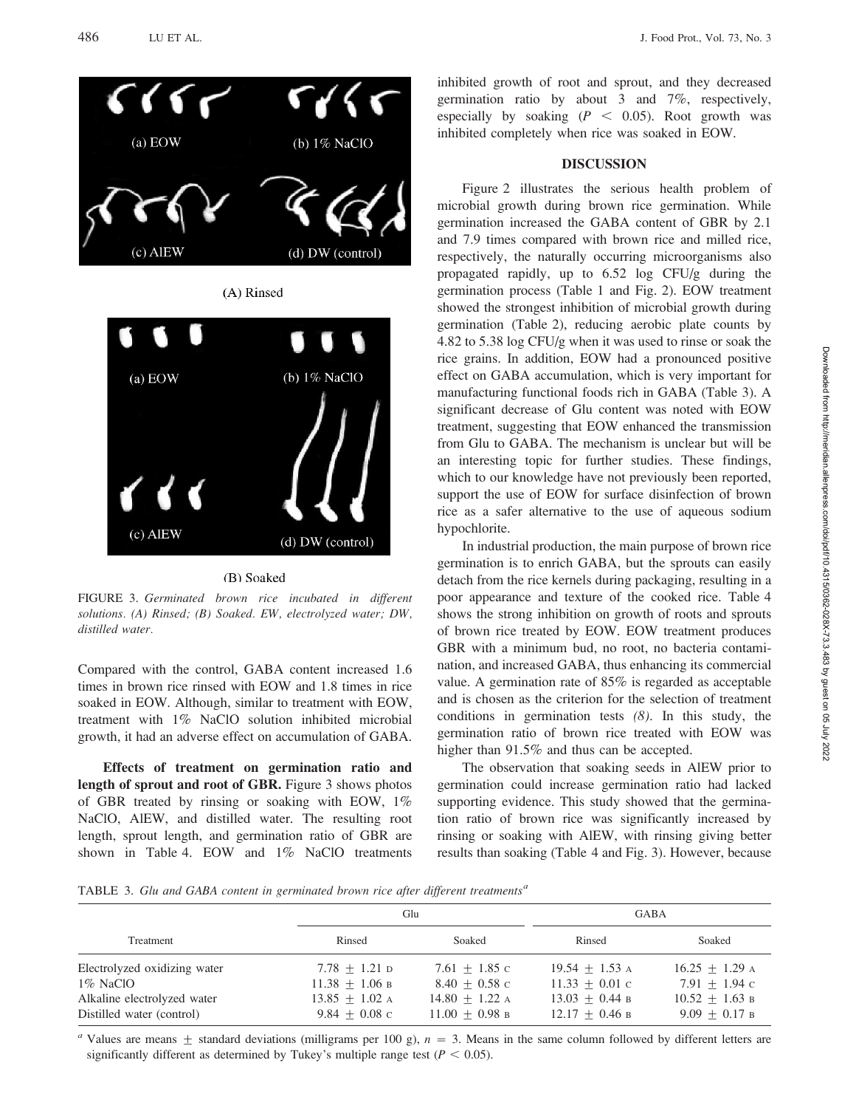

## (B) Soaked

FIGURE 3. Germinated brown rice incubated in different solutions. (A) Rinsed; (B) Soaked. EW, electrolyzed water; DW, distilled water.

Compared with the control, GABA content increased 1.6 times in brown rice rinsed with EOW and 1.8 times in rice soaked in EOW. Although, similar to treatment with EOW, treatment with 1% NaClO solution inhibited microbial growth, it had an adverse effect on accumulation of GABA.

Effects of treatment on germination ratio and length of sprout and root of GBR. Figure 3 shows photos of GBR treated by rinsing or soaking with EOW,  $1\%$ NaClO, AlEW, and distilled water. The resulting root length, sprout length, and germination ratio of GBR are shown in Table 4. EOW and  $1\%$  NaClO treatments

inhibited growth of root and sprout, and they decreased germination ratio by about 3 and 7%, respectively, especially by soaking ( $P < 0.05$ ). Root growth was inhibited completely when rice was soaked in EOW.

### DISCUSSION

Figure 2 illustrates the serious health problem of microbial growth during brown rice germination. While germination increased the GABA content of GBR by 2.1 and 7.9 times compared with brown rice and milled rice, respectively, the naturally occurring microorganisms also propagated rapidly, up to 6.52 log CFU/g during the germination process (Table 1 and Fig. 2). EOW treatment showed the strongest inhibition of microbial growth during germination (Table 2), reducing aerobic plate counts by 4.82 to 5.38 log CFU/g when it was used to rinse or soak the rice grains. In addition, EOW had a pronounced positive effect on GABA accumulation, which is very important for manufacturing functional foods rich in GABA (Table 3). A significant decrease of Glu content was noted with EOW treatment, suggesting that EOW enhanced the transmission from Glu to GABA. The mechanism is unclear but will be an interesting topic for further studies. These findings, which to our knowledge have not previously been reported, support the use of EOW for surface disinfection of brown rice as a safer alternative to the use of aqueous sodium hypochlorite.

In industrial production, the main purpose of brown rice germination is to enrich GABA, but the sprouts can easily detach from the rice kernels during packaging, resulting in a poor appearance and texture of the cooked rice. Table 4 shows the strong inhibition on growth of roots and sprouts of brown rice treated by EOW. EOW treatment produces GBR with a minimum bud, no root, no bacteria contamination, and increased GABA, thus enhancing its commercial value. A germination rate of 85% is regarded as acceptable and is chosen as the criterion for the selection of treatment conditions in germination tests (8). In this study, the germination ratio of brown rice treated with EOW was higher than 91.5% and thus can be accepted.

The observation that soaking seeds in AlEW prior to germination could increase germination ratio had lacked supporting evidence. This study showed that the germination ratio of brown rice was significantly increased by rinsing or soaking with AlEW, with rinsing giving better results than soaking (Table 4 and Fig. 3). However, because

TABLE 3. Glu and GABA content in germinated brown rice after different treatments<sup>a</sup>

|                              |                  | Glu              | <b>GABA</b>      |                  |
|------------------------------|------------------|------------------|------------------|------------------|
| Treatment                    | Rinsed           | Soaked           | Rinsed           | Soaked           |
| Electrolyzed oxidizing water | $7.78 + 1.21$ D  | $7.61 + 1.85$ c  | $19.54 + 1.53$ A | $16.25 + 1.29$ A |
| $1\%$ NaClO                  | $11.38 + 1.06$ B | $8.40 + 0.58$ c  | $11.33 + 0.01$ c | $7.91 + 1.94$ c  |
| Alkaline electrolyzed water  | $13.85 + 1.02$ A | $14.80 + 1.22$ A | $13.03 + 0.44 B$ | $10.52 + 1.63$ B |
| Distilled water (control)    | $9.84 + 0.08$ c  | $11.00 + 0.98$ B | $12.17 + 0.46$ B | $9.09 + 0.17$ B  |

<sup>a</sup> Values are means  $\pm$  standard deviations (milligrams per 100 g),  $n = 3$ . Means in the same column followed by different letters are significantly different as determined by Tukey's multiple range test ( $P < 0.05$ ).